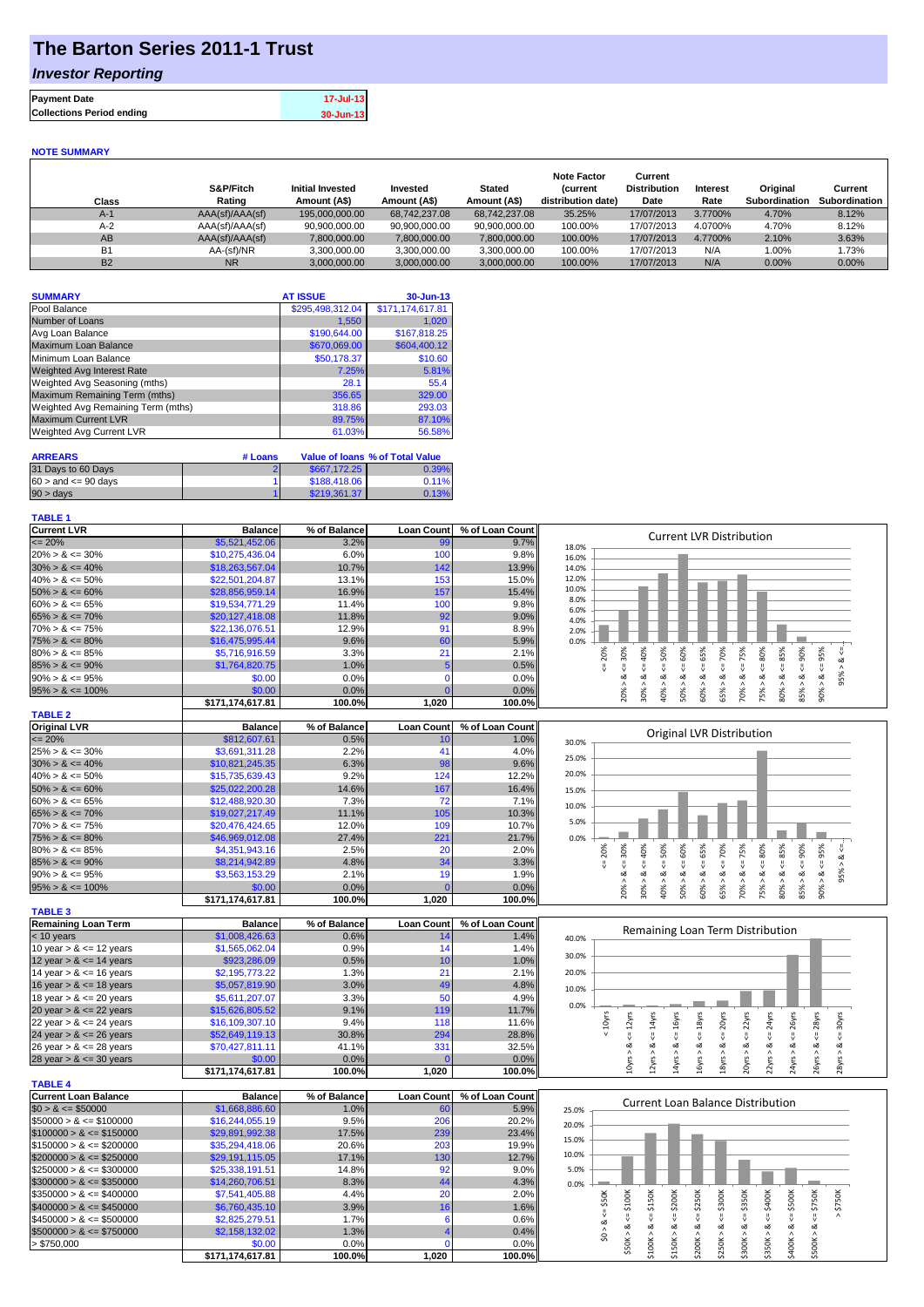# **The Barton Series 2011-1 Trust**

## *Investor Reporting*

| <b>Payment Date</b>              | 17-Jul-13 |
|----------------------------------|-----------|
| <b>Collections Period ending</b> | 30-Jun-13 |
|                                  |           |

### **NOTE SUMMARY**

| Class     | S&P/Fitch<br>Rating | <b>Initial Invested</b><br>Amount (A\$) | Invested<br>Amount (A\$) | <b>Stated</b><br>Amount (A\$) | <b>Note Factor</b><br><i>(current</i><br>distribution date) | Current<br><b>Distribution</b><br>Date | <b>Interest</b><br>Rate | Original<br>Subordination | Current<br><b>Subordination</b> |
|-----------|---------------------|-----------------------------------------|--------------------------|-------------------------------|-------------------------------------------------------------|----------------------------------------|-------------------------|---------------------------|---------------------------------|
| $A-1$     | AAA(sf)/AAA(sf)     | 195,000,000,00                          | 68.742.237.08            | 68.742.237.08                 | 35.25%                                                      | 17/07/2013                             | 3.7700%                 | 4.70%                     | 8.12%                           |
| $A-2$     | AAA(sf)/AAA(sf)     | 90,900,000.00                           | 90,900,000.00            | 90,900,000.00                 | 100.00%                                                     | 17/07/2013                             | 4.0700%                 | 4.70%                     | 8.12%                           |
| AB        | AAA(sf)/AAA(sf)     | 7,800,000.00                            | 7,800,000.00             | 7,800,000.00                  | 100.00%                                                     | 17/07/2013                             | 4.7700%                 | 2.10%                     | 3.63%                           |
| <b>B1</b> | AA-(sf)/NR          | 3.300.000.00                            | 3,300,000.00             | 3,300,000.00                  | 100.00%                                                     | 17/07/2013                             | N/A                     | 1.00%                     | 1.73%                           |
| <b>B2</b> | <b>NR</b>           | 3.000.000.00                            | 3,000,000.00             | 3,000,000.00                  | 100.00%                                                     | 17/07/2013                             | N/A                     | 0.00%                     | $0.00\%$                        |

| <b>SUMMARY</b>                     | <b>AT ISSUE</b>  | 30-Jun-13        |
|------------------------------------|------------------|------------------|
| Pool Balance                       | \$295,498,312.04 | \$171,174,617.81 |
| Number of Loans                    | 1.550            | 1,020            |
| Avg Loan Balance                   | \$190.644.00     | \$167.818.25     |
| Maximum Loan Balance               | \$670,069.00     | \$604,400.12     |
| Minimum Loan Balance               | \$50,178.37      | \$10.60          |
| Weighted Avg Interest Rate         | 7.25%            | 5.81%            |
| Weighted Avg Seasoning (mths)      | 28.1             | 55.4             |
| Maximum Remaining Term (mths)      | 356.65           | 329.00           |
| Weighted Avg Remaining Term (mths) | 318.86           | 293.03           |
| <b>Maximum Current LVR</b>         | 89.75%           | 87.10%           |
| <b>Weighted Avg Current LVR</b>    | 61.03%           | 56.58%           |

| <b>ARREARS</b>            | # Loans |                     | Value of Ioans % of Total Value |
|---------------------------|---------|---------------------|---------------------------------|
| 31 Days to 60 Days        |         | <b>\$667.172.25</b> | 0.39%                           |
| $60 >$ and $\leq 90$ days |         | \$188,418,06        | 0.11%                           |
| $90 > \text{days}$        |         | \$219,361,37        | 0.13%                           |

#### **TABLE 1**

| <b>Current LVR</b>          | <b>Balance</b>   | % of Balance | <b>Loan Count</b> | % of Loan Count |                                                                                                                                                                                                                                                     |
|-----------------------------|------------------|--------------|-------------------|-----------------|-----------------------------------------------------------------------------------------------------------------------------------------------------------------------------------------------------------------------------------------------------|
| $= 20%$                     | \$5,521,452.06   | 3.2%         | 99                | 9.7%            | <b>Current LVR Distribution</b><br>18.0%                                                                                                                                                                                                            |
| $20\% > 8 \le 30\%$         | \$10,275,436.04  | 6.0%         | 100               | 9.8%            | 16.0%                                                                                                                                                                                                                                               |
| $30\% > 8 \le 40\%$         | \$18,263,567.04  | 10.7%        | 142               | 13.9%           | 14.0%                                                                                                                                                                                                                                               |
| $40\% > 8 \le 50\%$         | \$22,501,204.87  | 13.1%        | 153               | 15.0%           | 12.0%                                                                                                                                                                                                                                               |
| $50\% > 8 \le 60\%$         | \$28,856,959.14  | 16.9%        | 157               | 15.4%           | 10.0%                                                                                                                                                                                                                                               |
| $60\% > 8 \le 65\%$         | \$19,534,771.29  | 11.4%        | 100               | 9.8%            | 8.0%                                                                                                                                                                                                                                                |
| $65\% > 8 \le 70\%$         | \$20,127,418.08  | 11.8%        | 92                | 9.0%            | 6.0%<br>4.0%                                                                                                                                                                                                                                        |
| $70\% > 8 \le 75\%$         | \$22,136,076.51  | 12.9%        | 91                | 8.9%            | 2.0%                                                                                                                                                                                                                                                |
| $75\% > 8 \le 80\%$         | \$16,475,995.44  | 9.6%         | 60                | 5.9%            | 0.0%                                                                                                                                                                                                                                                |
| $80\% > 8 \le 85\%$         | \$5,716,916.59   | 3.3%         | 21                | 2.1%            | 30%<br>80%<br>$\leq 85\%$<br>20%<br>95%                                                                                                                                                                                                             |
| $85\% > 8 \le 90\%$         | \$1,764,820.75   | 1.0%         | $5\phantom{1}$    | 0.5%            | $4 - 40%$<br>$\epsilon = 50\%$<br>$\le 60\%$<br>ಷ<br>팼<br>IJ,<br>IJ.<br>₹                                                                                                                                                                           |
| $90\% > 8 \le 95\%$         | \$0.00           | 0.0%         | $\mathbf{0}$      | 0.0%            | 95%<br>ઌ<br>ઌ<br>ઌ                                                                                                                                                                                                                                  |
| $95\% > 8 \le 100\%$        | \$0.00           | 0.0%         | $\Omega$          | 0.0%            | $60\% > 8 \le 65\%$<br>$65% > 8 \le 70%$<br>$70\% > 8 <= 75\%$<br>$85% > 8 \leq 90%$<br>90% > 8<br>30% > 8<br>75% > 8<br>80% > 8<br>40% ><br>50% > 8                                                                                                |
|                             | \$171,174,617.81 | 100.0%       | 1,020             | 100.0%          | 20%                                                                                                                                                                                                                                                 |
| <b>TABLE 2</b>              |                  |              |                   |                 |                                                                                                                                                                                                                                                     |
| <b>Original LVR</b>         | <b>Balance</b>   | % of Balance | <b>Loan Count</b> | % of Loan Count |                                                                                                                                                                                                                                                     |
| $= 20%$                     | \$812,607.61     | 0.5%         | 10                | 1.0%            | Original LVR Distribution<br>30.0%                                                                                                                                                                                                                  |
| $25\% > 8 \le 30\%$         | \$3,691,311.28   | 2.2%         | 41                | 4.0%            |                                                                                                                                                                                                                                                     |
| $30\% > 8 \le 40\%$         | \$10,821,245.35  | 6.3%         | 98                | 9.6%            | 25.0%                                                                                                                                                                                                                                               |
| $40\% > 8 \le 50\%$         | \$15,735,639.43  | 9.2%         | 124               | 12.2%           | 20.0%                                                                                                                                                                                                                                               |
| $50\% > 8 \le 60\%$         | \$25,022,200.28  | 14.6%        | 167               | 16.4%           | 15.0%                                                                                                                                                                                                                                               |
| $60\% > 8 \le 65\%$         | \$12,488,920.30  | 7.3%         | 72                | 7.1%            |                                                                                                                                                                                                                                                     |
| $65\% > 8 \le 70\%$         | \$19,027,217.49  | 11.1%        | 105               | 10.3%           | 10.0%                                                                                                                                                                                                                                               |
| $70\% > 8 \le 75\%$         | \$20,476,424.65  | 12.0%        | 109               | 10.7%           | 5.0%                                                                                                                                                                                                                                                |
| $75\% > 8 \le 80\%$         | \$46,969,012.08  | 27.4%        | 221               | 21.7%           | 0.0%                                                                                                                                                                                                                                                |
| $80\% > 8 \le 85\%$         | \$4,351,943.16   | 2.5%         | 20                | 2.0%            | ∜                                                                                                                                                                                                                                                   |
| $85\% > 8 \le 90\%$         | \$8,214,942.89   | 4.8%         | 34                | 3.3%            | $80\% > 8 <= 85\%$<br>$<=$ 30%<br>$30\% > 8 \le 40\%$<br>$40\% > 8 \le 50\%$<br>$50\% > 8 \le 60\%$<br>$60\% > 8 \le 65\%$<br>$65\% > 8 \le 70\%$<br>$85% > 8 <= 90%$<br>$90\% > 8 <= 95\%$<br>$5 = 20%$<br>$70\% > 8 \le 75\%$<br>$\leq 80\%$<br>ø |
| $90\% > 8 \le 95\%$         | \$3,563,153.29   | 2.1%         | 19                | 1.9%            | 95%<br>∞                                                                                                                                                                                                                                            |
| $95\% > 8 \le 100\%$        | \$0.00           | 0.0%         |                   | 0.0%            | 75% > 8                                                                                                                                                                                                                                             |
|                             | \$171,174,617.81 | 100.0%       | 1,020             | 100.0%          | 20%                                                                                                                                                                                                                                                 |
| <b>TABLE 3</b>              |                  |              |                   |                 |                                                                                                                                                                                                                                                     |
| <b>Remaining Loan Term</b>  | <b>Balance</b>   | % of Balance | <b>Loan Count</b> | % of Loan Count |                                                                                                                                                                                                                                                     |
| < 10 years                  | \$1,008,426.63   | 0.6%         | 14                | 1.4%            | Remaining Loan Term Distribution<br>40.0%                                                                                                                                                                                                           |
| 10 year $> 8 \le 12$ years  | \$1,565,062.04   | 0.9%         | 14                | 1.4%            |                                                                                                                                                                                                                                                     |
| 12 year $> 8 \le 14$ years  | \$923,286.09     | 0.5%         | 10                | 1.0%            | 30.0%                                                                                                                                                                                                                                               |
| 14 year $> 8 \le 16$ years  | \$2,195,773.22   | 1.3%         | 21                | 2.1%            | 20.0%                                                                                                                                                                                                                                               |
| 16 year $> 8 \le 18$ years  | \$5,057,819.90   | 3.0%         | 49                | 4.8%            |                                                                                                                                                                                                                                                     |
| 18 year $> 8 \le 20$ years  | \$5,611,207.07   | 3.3%         | 50                | 4.9%            | 10.0%                                                                                                                                                                                                                                               |
| 20 year $> 8 \le 22$ years  | \$15,626,805.52  | 9.1%         | 119               | 11.7%           | 0.0%                                                                                                                                                                                                                                                |
| 22 year $> 8 \le 24$ years  | \$16,109,307.10  | 9.4%         | 118               | 11.6%           |                                                                                                                                                                                                                                                     |
| 24 year $> 8 \le 26$ years  | \$52,649,119.13  | 30.8%        | 294               | 28.8%           | $\leq$ 28yrs<br>$\epsilon$ = 22 $\gamma$ rs<br>$\leq$ 24 yrs<br>$\epsilon$ = 26 $\gamma$ rs<br>$\leq$ 30 $\gamma$ rs<br>$< 10Y$ rs<br>$\leq$ 18yrs<br>$\leq 20$ yrs<br>$\leq 12$ yrs<br>$\leq$ 14yrs<br>$\leq$ 16 yrs                               |
| 26 year $> 8 \le 28$ years  | \$70,427,811.11  | 41.1%        | 33 <sup>1</sup>   | 32.5%           | ø<br>ಷ                                                                                                                                                                                                                                              |
| 28 year $> 8 \le 30$ years  | \$0.00           | 0.0%         |                   | 0.0%            | $0$ $y$ $s > 8$<br>.4yrs > 8<br>0yrs > 8<br>6yrs > 8<br>8yrs > 8<br>2yrs > 8<br>2yrs<br>4yrs >                                                                                                                                                      |
|                             | \$171,174,617.81 | 100.0%       | 1,020             | 100.0%          | 26yrs > 8<br>28yrs > 8                                                                                                                                                                                                                              |
| <b>TABLE 4</b>              |                  |              |                   |                 |                                                                                                                                                                                                                                                     |
| <b>Current Loan Balance</b> | <b>Balance</b>   | % of Balance | <b>Loan Count</b> | % of Loan Count |                                                                                                                                                                                                                                                     |
| $$0 > 8 \leq $50000$        | \$1,668,886.60   | 1.0%         | 60                | 5.9%            | <b>Current Loan Balance Distribution</b><br>25.0%                                                                                                                                                                                                   |
| $$50000 > 8 \le $100000$    | \$16,244,055.19  | 9.5%         | 206               | 20.2%           |                                                                                                                                                                                                                                                     |
| $$100000 > 8 \le $150000$   | \$29,891,992.38  | 17.5%        | 239               | 23.4%           | 20.0%                                                                                                                                                                                                                                               |
| $$150000 > 8 \leq $200000$  | \$35,294,418.06  | 20.6%        | 203               | 19.9%           | 15.0%                                                                                                                                                                                                                                               |
| $$200000 > 8 \le $250000$   | \$29,191,115.05  | 17.1%        | 130               | 12.7%           | 10.0%                                                                                                                                                                                                                                               |
| $$250000 > 8 \leq $300000$  | \$25,338,191.51  | 14.8%        | 92                | 9.0%            | 5.0%                                                                                                                                                                                                                                                |
| $$300000 > 8 \leq $350000$  | \$14,260,706.51  | 8.3%         | 44                | 4.3%            | 0.0%                                                                                                                                                                                                                                                |
| $$350000 > 8 \leq $400000$  | \$7,541,405.88   | 4.4%         | 20                | 2.0%            |                                                                                                                                                                                                                                                     |
| $$400000 > 8 \leq $450000$  | \$6,760,435.10   | 3.9%         | 16                | 1.6%            | $4 = $250K$<br>$4 = $300K$<br>$4 = $350K$<br>$4 = $400K$<br>$4 = $50K$<br>\$750K                                                                                                                                                                    |
| $$450000 > 8 \leq $500000$  | \$2,825,279.51   | 1.7%         | 6                 | 0.6%            |                                                                                                                                                                                                                                                     |
| $$500000 > 8 \le $750000$   | \$2,158,132.02   | 1.3%         |                   | 0.4%            | \$0 > 8                                                                                                                                                                                                                                             |
| > \$750,000                 | \$0.00           | 0.0%         |                   | 0.0%            | $$100K > 8 <= $150K$<br>$$150K > 8 <= $200K$$<br>$$50K > 8 <= $100K$<br>$$400K > 8 <= $500K$<br>$$500K > 8 <= $750K$<br>\$350K > 8<br>\$200K > 8<br>\$250K > 8<br>\$300K > 8                                                                        |
|                             |                  |              |                   |                 |                                                                                                                                                                                                                                                     |
|                             | \$171,174,617.81 | 100.0%       | 1,020             | 100.0%          |                                                                                                                                                                                                                                                     |